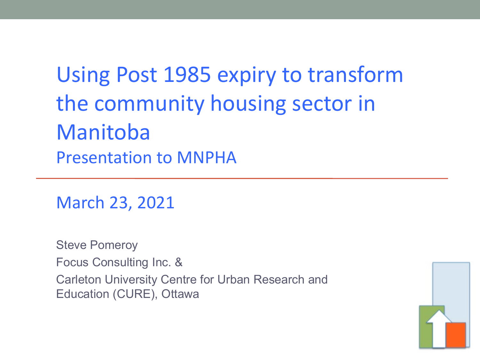### Using Post 1985 expiry to transform the community housing sector in Manitoba Presentation to MNPHA

March 23, 2021

Steve Pomeroy Focus Consulting Inc. & Carleton University Centre for Urban Research and Education (CURE), Ottawa

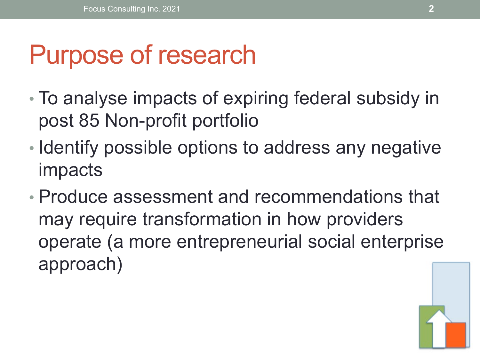# Purpose of research

- To analyse impacts of expiring federal subsidy in post 85 Non-profit portfolio
- Identify possible options to address any negative impacts
- Produce assessment and recommendations that may require transformation in how providers operate (a more entrepreneurial social enterprise approach)

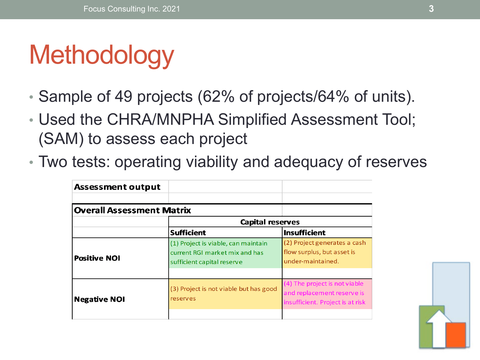# **Methodology**

- Sample of 49 projects (62% of projects/64% of units).
- Used the CHRA/MNPHA Simplified Assessment Tool; (SAM) to assess each project
- Two tests: operating viability and adequacy of reserves

| <b>Assessment output</b>         |                                                                                                     |                                                                                                 |  |  |
|----------------------------------|-----------------------------------------------------------------------------------------------------|-------------------------------------------------------------------------------------------------|--|--|
| <b>Overall Assessment Matrix</b> |                                                                                                     |                                                                                                 |  |  |
|                                  | <b>Capital reserves</b>                                                                             |                                                                                                 |  |  |
|                                  | <b>Sufficient</b>                                                                                   | <b>Insufficient</b>                                                                             |  |  |
| <b>Positive NOI</b>              | (1) Project is viable, can maintain<br>current RGI market mix and has<br>sufficient capital reserve | (2) Project generates a cash<br>flow surplus, but asset is<br>under-maintained.                 |  |  |
| <b>Negative NOI</b>              | (3) Project is not viable but has good<br>reserves                                                  | (4) The project is not viable<br>and replacement reserve is<br>insufficient. Project is at risk |  |  |
|                                  |                                                                                                     |                                                                                                 |  |  |

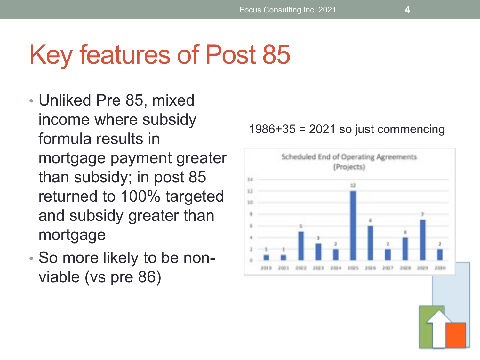# Key features of Post 85

- Unliked Pre 85, mixed income where subsidy formula results in mortgage payment greater than subsidy; in post 85 returned to 100% targeted and subsidy greater than mortgage
- So more likely to be nonviable (vs pre 86)



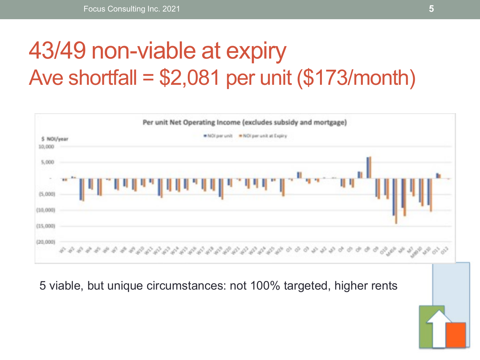### 43/49 non-viable at expiry Ave shortfall =  $$2,081$  per unit  $$173/m$ onth)



5 viable, but unique circumstances: not 100% targeted, higher rents

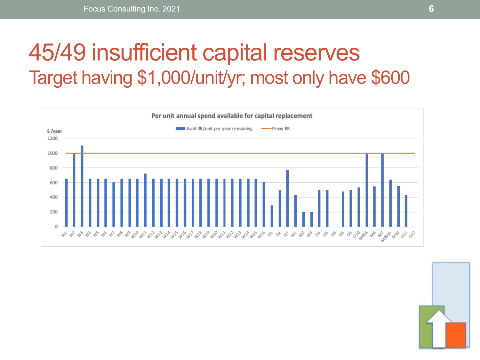#### 45/49 insufficient capital reserves Target having \$1,000/unit/yr; most only have \$600



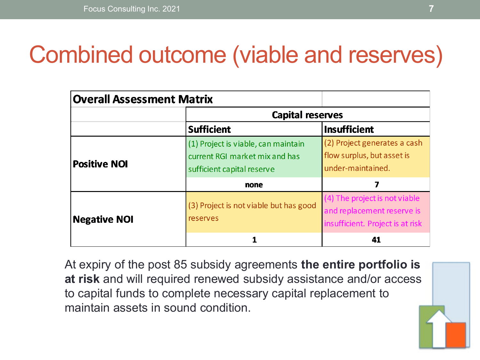### Combined outcome (viable and reserves)

| <b>Overall Assessment Matrix</b> |                                                                                                     |                                                                                                 |  |  |
|----------------------------------|-----------------------------------------------------------------------------------------------------|-------------------------------------------------------------------------------------------------|--|--|
|                                  | <b>Capital reserves</b>                                                                             |                                                                                                 |  |  |
|                                  | <b>Sufficient</b>                                                                                   | <b>Insufficient</b>                                                                             |  |  |
| <b>Positive NOI</b>              | (1) Project is viable, can maintain<br>current RGI market mix and has<br>sufficient capital reserve | (2) Project generates a cash<br>flow surplus, but asset is<br>under-maintained.                 |  |  |
|                                  | none                                                                                                |                                                                                                 |  |  |
| <b>Negative NOI</b>              | (3) Project is not viable but has good<br>reserves                                                  | (4) The project is not viable<br>and replacement reserve is<br>insufficient. Project is at risk |  |  |
|                                  |                                                                                                     | 41                                                                                              |  |  |

At expiry of the post 85 subsidy agreements **the entire portfolio is at risk** and will required renewed subsidy assistance and/or access to capital funds to complete necessary capital replacement to maintain assets in sound condition.

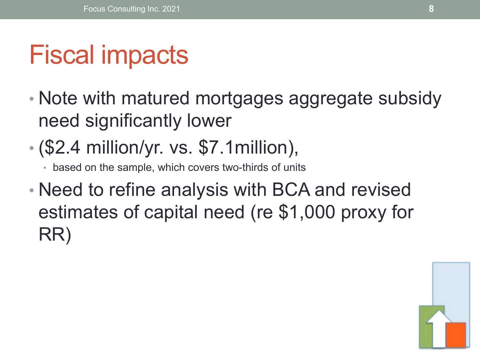# Fiscal impacts

- Note with matured mortgages aggregate subsidy need significantly lower
- (\$2.4 million/yr. vs. \$7.1million),
	- based on the sample, which covers two-thirds of units
- Need to refine analysis with BCA and revised estimates of capital need (re \$1,000 proxy for RR)

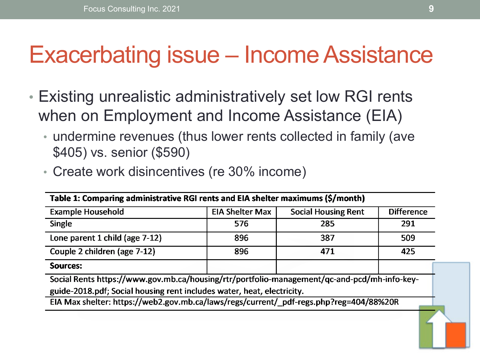#### Exacerbating issue – Income Assistance

- Existing unrealistic administratively set low RGI rents when on Employment and Income Assistance (EIA)
	- undermine revenues (thus lower rents collected in family (ave \$405) vs. senior (\$590)
	- Create work disincentives (re 30% income)

| Table 1: Comparing administrative RGI rents and EIA shelter maximums (\$/month)                                                                                                                                                                                 |                        |                            |                   |
|-----------------------------------------------------------------------------------------------------------------------------------------------------------------------------------------------------------------------------------------------------------------|------------------------|----------------------------|-------------------|
| <b>Example Household</b>                                                                                                                                                                                                                                        | <b>EIA Shelter Max</b> | <b>Social Housing Rent</b> | <b>Difference</b> |
| <b>Single</b>                                                                                                                                                                                                                                                   | 576                    | 285                        | 291               |
| Lone parent 1 child (age 7-12)                                                                                                                                                                                                                                  | 896                    | 387                        | 509               |
| Couple 2 children (age 7-12)                                                                                                                                                                                                                                    | 896                    | 471                        | 425               |
| Sources:                                                                                                                                                                                                                                                        |                        |                            |                   |
| Social Rents https://www.gov.mb.ca/housing/rtr/portfolio-management/qc-and-pcd/mh-info-key-<br>guide-2018.pdf; Social housing rent includes water, heat, electricity.<br>EIA Max shelter: https://web2.gov.mb.ca/laws/regs/current/_pdf-regs.php?reg=404/88%20R |                        |                            |                   |
|                                                                                                                                                                                                                                                                 |                        |                            |                   |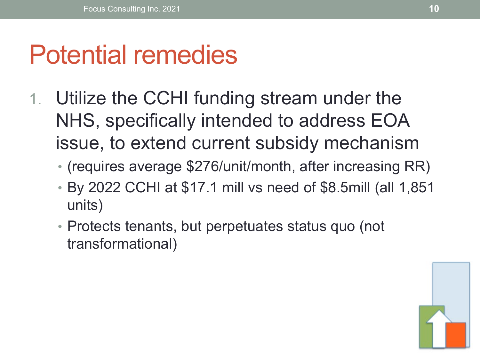## Potential remedies

- 1. Utilize the CCHI funding stream under the NHS, specifically intended to address EOA issue, to extend current subsidy mechanism
	- (requires average \$276/unit/month, after increasing RR)
	- By 2022 CCHI at \$17.1 mill vs need of \$8.5mill (all 1,851 units)
	- Protects tenants, but perpetuates status quo (not transformational)

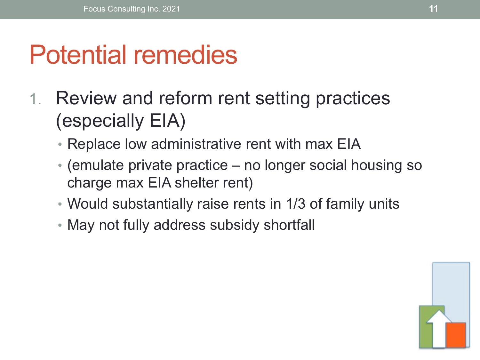## Potential remedies

- 1. Review and reform rent setting practices (especially EIA)
	- Replace low administrative rent with max EIA
	- (emulate private practice no longer social housing so charge max EIA shelter rent)
	- Would substantially raise rents in 1/3 of family units
	- May not fully address subsidy shortfall

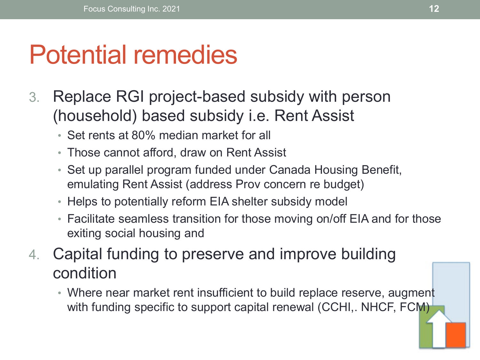## Potential remedies

- 3. Replace RGI project-based subsidy with person (household) based subsidy i.e. Rent Assist
	- Set rents at 80% median market for all
	- Those cannot afford, draw on Rent Assist
	- Set up parallel program funded under Canada Housing Benefit, emulating Rent Assist (address Prov concern re budget)
	- Helps to potentially reform EIA shelter subsidy model
	- Facilitate seamless transition for those moving on/off EIA and for those exiting social housing and
- 4. Capital funding to preserve and improve building condition
	- Where near market rent insufficient to build replace reserve, augment with funding specific to support capital renewal (CCHI,. NHCF, FCM)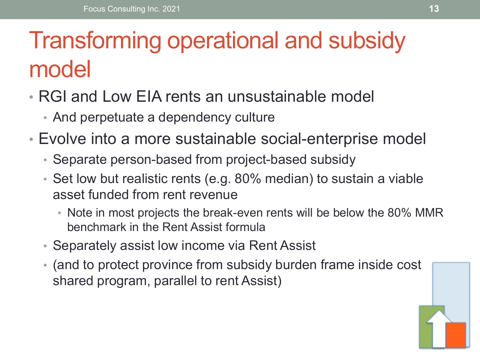## Transforming operational and subsidy model

- RGI and Low EIA rents an unsustainable model
	- And perpetuate a dependency culture
- Evolve into a more sustainable social-enterprise model
	- Separate person-based from project-based subsidy
	- Set low but realistic rents (e.g. 80% median) to sustain a viable asset funded from rent revenue
		- Note in most projects the break-even rents will be below the 80% MMR benchmark in the Rent Assist formula
	- Separately assist low income via Rent Assist
	- (and to protect province from subsidy burden frame inside cost shared program, parallel to rent Assist)

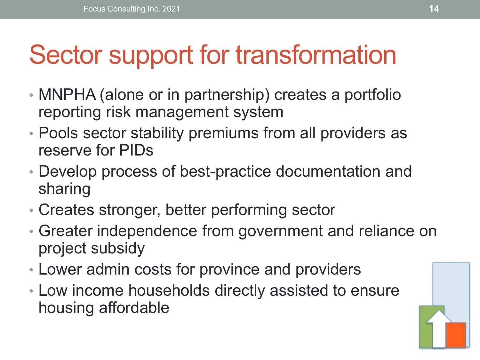# Sector support for transformation

- MNPHA (alone or in partnership) creates a portfolio reporting risk management system
- Pools sector stability premiums from all providers as reserve for PIDs
- Develop process of best-practice documentation and sharing
- Creates stronger, better performing sector
- Greater independence from government and reliance on project subsidy
- Lower admin costs for province and providers
- Low income households directly assisted to ensure housing affordable